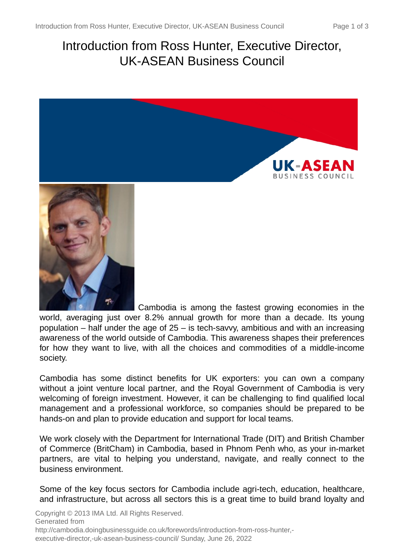# Introduction from Ross Hunter, Executive Director, UK-ASEAN Business Council



world, averaging just over 8.2% annual growth for more than a decade. Its young population – half under the age of  $25 -$  is tech-savvy, ambitious and with an increasing awareness of the world outside of Cambodia. This awareness shapes their preferences for how they want to live, with all the choices and commodities of a middle-income society.

Cambodia has some distinct benefits for UK exporters: you can own a company without a joint venture local partner, and the Royal Government of Cambodia is very welcoming of foreign investment. However, it can be challenging to find qualified local management and a professional workforce, so companies should be prepared to be hands-on and plan to provide education and support for local teams.

We work closely with the Department for International Trade (DIT) and British Chamber of Commerce (BritCham) in Cambodia, based in Phnom Penh who, as your in-market partners, are vital to helping you understand, navigate, and really connect to the business environment.

Some of the key focus sectors for Cambodia include agri-tech, education, healthcare, and infrastructure, but across all sectors this is a great time to build brand loyalty and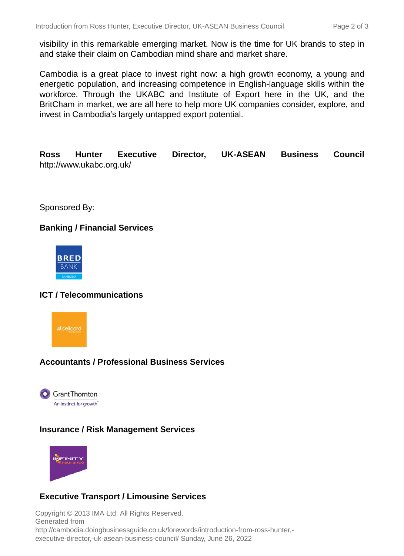visibility in this remarkable emerging market. Now is the time for UK brands to step in and stake their claim on Cambodian mind share and market share.

Cambodia is a great place to invest right now: a high growth economy, a young and energetic population, and increasing competence in English-language skills within the workforce. Through the UKABC and Institute of Export here in the UK, and the BritCham in market, we are all here to help more UK companies consider, explore, and invest in Cambodia's largely untapped export potential.

**Ross Hunter Executive Director, UK-ASEAN Business Council** http://www.ukabc.org.uk/

Sponsored By:

## **Banking / Financial Services**



## **ICT / Telecommunications**



## **Accountants / Professional Business Services**



#### **Insurance / Risk Management Services**



## **Executive Transport / Limousine Services**

Copyright © 2013 IMA Ltd. All Rights Reserved. Generated from http://cambodia.doingbusinessguide.co.uk/forewords/introduction-from-ross-hunter, executive-director,-uk-asean-business-council/ Sunday, June 26, 2022